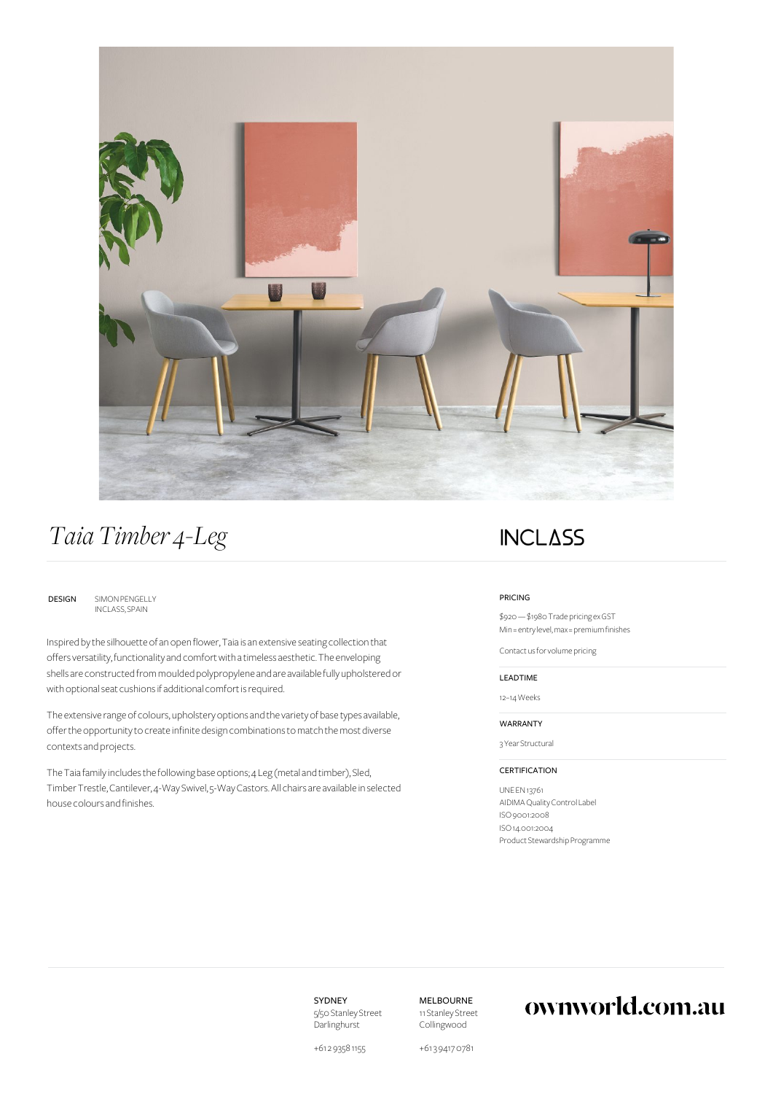

# *Taia Timber 4-Leg*

DESIGN SIMON PENGELLY [INCLASS, SPAIN](https://ownworld.com.au/brands/inclass)

Inspired by the silhouette of an open flower, Taia is an extensive seating collection that offers versatility, functionality and comfort with a timeless aesthetic. The enveloping shells are constructed from moulded polypropylene and are available fully upholstered or with optional seat cushions if additional comfort is required.

The extensive range of colours, upholstery options and the variety of base types available, offer the opportunity to create infinite design combinations to match the most diverse contexts and projects.

The Taia family includes the following base options; 4 Leg (metal and timber), Sled, Timber Trestle, Cantilever, 4-Way Swivel, 5-Way Castors. All chairs are available in selected house colours and finishes.

## **INCLASS**

#### PRICING

\$920 — \$1980 Trade pricing ex GST Min = entry level, max = premium finishes

[Contact us](mailto:sales@ownworld.com.au?subject=Volume%20Pricing) for volume pricing

#### LEADTIME

12–14 Weeks

#### WARRANTY

3 Year Structural

### CERTIFICATION

UNE EN 13761 AIDIMA Quality Control Label ISO 9001:2008 ISO 14.001:2004 Product Stewardship Programme

SYDNEY 5/50 Stanley Street Darlinghurst

MELBOURNE 11 Stanley Street Collingwood

## ownworld.com.au

+61 2 9358 1155

+61 3 9417 0781